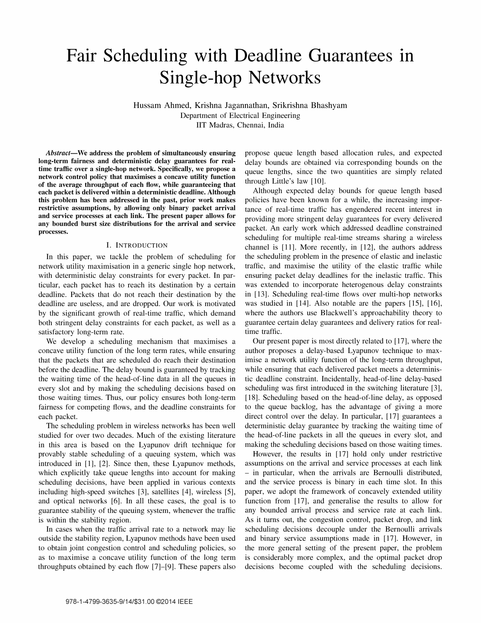# Fair Scheduling with Deadline Guarantees in Single-hop Networks

Hussam Ahmed, Krishna Jagannathan, Srikrishna Bhashyam Department of Electrical Engineering lIT Madras, Chennai, India

Abstract—We address the problem of simultaneously ensuring long-term fairness and deterministic delay guarantees for realtime traffic over a single-hop network. Specifically, we propose a network control policy that maximises a concave utility function of the average throughput of each flow, while guaranteeing that each packet is delivered within a deterministic deadline. Although this problem has been addressed in the past, prior work makes restrictive assumptions, by allowing only binary packet arrival and service processes at each link. The present paper allows for any bounded burst size distributions for the arrival and service processes.

## I. INTRODUCTION

In this paper, we tackle the problem of scheduling for network utility maximisation in a generic single hop network, with deterministic delay constraints for every packet. In particular, each packet has to reach its destination by a certain deadline. Packets that do not reach their destination by the deadline are useless, and are dropped. Our work is motivated by the significant growth of real-time traffic, which demand both stringent delay constraints for each packet, as well as a satisfactory long-term rate.

We develop a scheduling mechanism that maximises a concave utility function of the long term rates, while ensuring that the packets that are scheduled do reach their destination before the deadline. The delay bound is guaranteed by tracking the waiting time of the head-of-Iine data in all the queues in every slot and by making the scheduling decisions based on those waiting times. Thus, our policy ensures both long-term fairness for competing flows, and the deadline constraints for each packet.

The scheduling problem in wireless networks has been well studied for over two decades. Much of the existing literature in this area is based on the Lyapunov drift technique for provably stable scheduling of a queuing system, which was introduced in [1], [2]. Since then, these Lyapunov methods, which explicitly take queue lengths into account for making scheduling decisions, have been applied in various contexts including high-speed switches [3], satellites [4], wireless [5], and optical networks [6]. In all these cases, the goal is to guarantee stability of the queuing system, whenever the traffic is within the stability region.

In cases when the traffic arrival rate to a network may lie outside the stability region, Lyapunov methods have been used to obtain joint congestion control and scheduling policies, so as to maximise a concave utility function of the long term throughputs obtained by each flow [7]-[9]. These papers also propose queue length based allocation rules, and expected delay bounds are obtained via corresponding bounds on the queue lengths, since the two quantities are simply related through Little's law [10].

Although expected delay bounds for queue length based policies have been known for a while, the increasing importance of real-time traffic has engendered recent interest in providing more stringent delay guarantees for every delivered packet. An early work which addressed deadline constrained scheduling for multiple real-time streams sharing a wireless channel is [11]. More recently, in [12], the authors address the scheduling problem in the presence of elastic and inelastic traffic, and maximise the utility of the elastic traffic while ensuring packet delay deadlines for the inelastic traffic. This was extended to incorporate heterogenous delay constraints in [13]. Scheduling real-time flows over multi-hop networks was studied in [14]. Also notable are the papers [15], [16], where the authors use Blackwell's approachability theory to guarantee certain delay guarantees and delivery ratios for realtime traffic.

Our present paper is most directly related to [17], where the author proposes a delay-based Lyapunov technique to maximise a network utility function of the long-term throughput, while ensuring that each delivered packet meets a deterministic deadline constraint. Incidentally, head-of-line delay-based scheduling was first introduced in the switching literature [3], [18]. Scheduling based on the head-of-line delay, as opposed to the queue backlog, has the advantage of giving a more direct control over the delay. In particular, [17] guarantees a deterministic delay guarantee by tracking the waiting time of the head-of-Iine packets in all the queues in every slot, and making the scheduling decisions based on those waiting times.

However, the results in [17] hold only under restrictive assumptions on the arrival and service processes at each link - in particular, when the arrivals are Bernoulli distributed, and the service process is binary in each time slot. In this paper, we adopt the framework of concavely extended utility function from [17], and generalise the results to allow for any bounded arrival process and service rate at each link. As it turns out, the congestion control, packet drop, and link scheduling decisions decouple under the Bernoulli arrivals and binary service assumptions made in [17]. However, in the more general setting of the present paper, the problem is considerably more complex, and the optimal packet drop decisions become coupled with the scheduling decisions.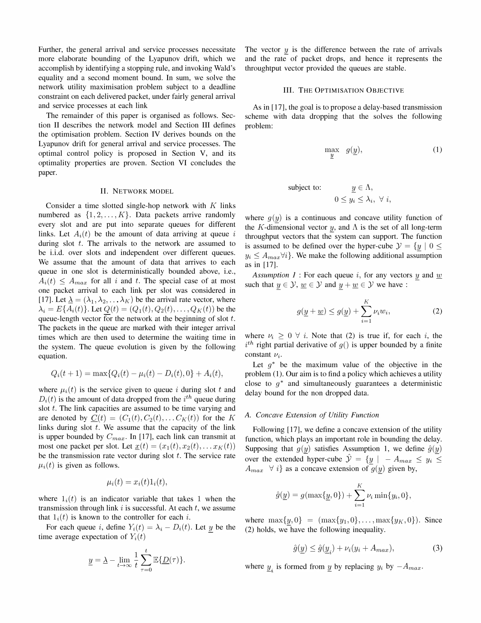Further, the general arrival and service processes necessitate more elaborate bounding of the Lyapunov drift, which we accomplish by identifying a stopping rule, and invoking Wald's equality and a second moment bound. In sum, we solve the network utility maximisation problem subject to a deadline constraint on each delivered packet, under fairly general arrival and service processes at each link

The remainder of this paper is organised as follows. Section II describes the network model and Section III defines the optimisation problem. Section IV derives bounds on the Lyapunov drift for general arrival and service processes. The optimal control policy is proposed in Section V, and its optimality properties are proven. Section VI concludes the paper.

## II. NETWORK MODEL

Consider a time slotted single-hop network with  $K$  links numbered as  $\{1, 2, \ldots, K\}$ . Data packets arrive randomly every slot and are put into separate queues for different links. Let  $A_i(t)$  be the amount of data arriving at queue i during slot  $t$ . The arrivals to the network are assumed to be i.i.d. over slots and independent over different queues. We assume that the amount of data that arrives to each queue in one slot is deterministically bounded above, i.e.,  $A_i(t) \leq A_{max}$  for all i and t. The special case of at most one packet arrival to each link per slot was considered in [17]. Let  $\underline{\lambda} = (\lambda_1, \lambda_2, \dots, \lambda_K)$  be the arrival rate vector, where  $\lambda_i = E\{A_i(t)\}\text{.}$  Let  $Q(t) = (Q_1(t), Q_2(t), \dots, Q_K(t))$  be the queue-length vector for the network at the beginning of slot  $t$ . The packets in the queue are marked with their integer arrival times which are then used to determine the waiting time in the system. The queue evolution is given by the following equation.

$$
Q_i(t+1) = \max\{Q_i(t) - \mu_i(t) - D_i(t), 0\} + A_i(t),
$$

where  $\mu_i(t)$  is the service given to queue i during slot t and  $D_i(t)$  is the amount of data dropped from the  $i^{th}$  queue during slot  $t$ . The link capacities are assumed to be time varying and are denoted by  $\underline{C}(t) = (C_1(t), C_2(t), \ldots, C_K(t))$  for the K links during slot  $t$ . We assume that the capacity of the link is upper bounded by  $C_{max}$ . In [17], each link can transmit at most one packet per slot. Let  $\underline{x}(t) = (x_1(t), x_2(t), \dots x_K(t))$ be the transmission rate vector during slot  $t$ . The service rate  $\mu_i(t)$  is given as follows.

$$
\mu_i(t) = x_i(t) \mathbb{1}_i(t),
$$

where  $1_i(t)$  is an indicator variable that takes 1 when the transmission through link  $i$  is successful. At each  $t$ , we assume that  $1_i(t)$  is known to the controller for each i.

For each queue i, define  $Y_i(t) = \lambda_i - D_i(t)$ . Let y be the time average expectation of  $Y_i(t)$ 

$$
\underline{y} = \underline{\lambda} - \lim_{t \to \infty} \frac{1}{t} \sum_{\tau=0}^{t} \mathbb{E} \{ \underline{D}(\tau) \}.
$$

The vector  $y$  is the difference between the rate of arrivals and the rate of packet drops, and hence it represents the throughtput vector provided the queues are stable.

## III. THE OPTIMISATION OBJECTIVE

As in [17], the goal is to propose a delay-based transmission scheme with data dropping that the solves the following problem:

$$
\max_{\underline{y}} \quad g(\underline{y}), \tag{1}
$$

subject to: 
$$
\underline{y} \in \Lambda,
$$

$$
0 \le y_i \le \lambda_i, \ \forall \ i,
$$

where  $g(y)$  is a continuous and concave utility function of the K-dimensional vector y, and  $\Lambda$  is the set of all long-term throughput vectors that the system can support. The function is assumed to be defined over the hyper-cube  $\mathcal{Y} = \{y \mid 0 \leq$  $y_i \leq A_{max} \forall i$ . We make the following additional assumption as in [17].

Assumption 1 : For each queue i, for any vectors y and  $\underline{w}$ such that  $y \in \mathcal{Y}$ ,  $\underline{w} \in \mathcal{Y}$  and  $y + \underline{w} \in \mathcal{Y}$  we have :

$$
g(\underline{y} + \underline{w}) \le g(\underline{y}) + \sum_{i=1}^{K} \nu_i w_i, \tag{2}
$$

where  $\nu_i \geq 0 \ \forall \ i$ . Note that (2) is true if, for each i, the  $i<sup>th</sup>$  right partial derivative of  $g()$  is upper bounded by a finite constant  $\nu_i$ .

Let  $g^*$  be the maximum value of the objective in the problem (1). Our aim is to find a policy which achieves a utility close to  $q^*$  and simultaneously guarantees a deterministic delay bound for the non dropped data.

## A. Concave Extension of Utility Function

Following [17], we define a concave extension of the utility function, which plays an important role in bounding the delay. Supposing that  $g(y)$  satisfies Assumption 1, we define  $\hat{g}(y)$ . over the extended hyper-cube  $\hat{y} = \{y \mid -A_{max} \leq y_i \leq \}$  $A_{max}$   $\forall i$  as a concave extension of  $g(y)$  given by,

$$
\hat{g}(\underline{y}) = g(\max\{\underline{y}, 0\}) + \sum_{i=1}^{K} \nu_i \min\{y_i, 0\},\
$$

where  $\max\{y, 0\} = (\max\{y_1, 0\}, \ldots, \max\{y_K, 0\}).$  Since  $(2)$  holds, we have the following inequality.

$$
\hat{g}(y) \le \hat{g}(y_i) + \nu_i(y_i + A_{max}),\tag{3}
$$

where  $\underline{y}_i$  is formed from  $\underline{y}$  by replacing  $y_i$  by  $-A_{max}$ .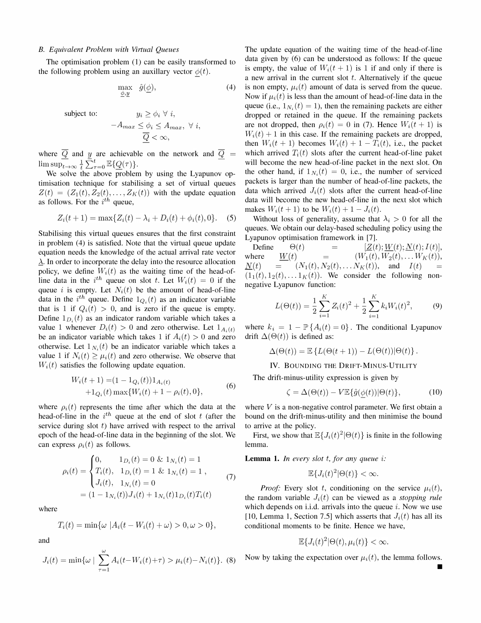#### B. Equivalent Problem with Virtual Queues

The optimisation problem (1) can be easily transformed to the following problem using an auxillary vector  $\phi(t)$ .

$$
\max_{\underline{\phi}, \underline{y}} \quad \hat{g}(\underline{\phi}), \tag{4}
$$

subject to:

$$
-A_{max} \le \phi_i \le A_{max}, \ \forall \ i,
$$
  

$$
\overline{\underline{Q}} < \infty,
$$

 $y_i \ge \phi_i \ \forall \ i,$ 

where  $Q$  and  $y$  are achievable on the network and  $Q$  $\limsup_{t\to\infty} \frac{1}{t} \sum_{\tau=0}^t \mathbb{E} {\{\underline{Q}(\tau)\}}.$ 

We solve the above problem by using the Lyapunov optimisation technique for stabilising a set of virtual queues  $Z(t) = (Z_1(t), Z_2(t), \ldots, Z_K(t))$  with the update equation as follows. For the  $i^{th}$  queue,

$$
Z_i(t+1) = \max\{Z_i(t) - \lambda_i + D_i(t) + \phi_i(t), 0\}.
$$
 (5)

Stabilising this virtual queues ensures that the first constraint in problem (4) is satisfied. Note that the virtual queue update equation needs the knowledge of the actual arrival rate vector  $\lambda$ . In order to incorporate the delay into the resource allocation policy, we define  $W_i(t)$  as the waiting time of the head-ofline data in the i<sup>th</sup> queue on slot t. Let  $W_i(t) = 0$  if the queue i is empty. Let  $N_i(t)$  be the amount of head-of-line data in the i<sup>th</sup> queue. Define  $1_{Q_i}(t)$  as an indicator variable that is 1 if  $Q_i(t) > 0$ , and is zero if the queue is empty. Define  $1_{D_i}(t)$  as an indicator random variable which takes a value 1 whenever  $D_i(t) > 0$  and zero otherwise. Let  $1_{A_i(t)}$ be an indicator variable which takes 1 if  $A_i(t) > 0$  and zero otherwise. Let  $1_{N_i}(t)$  be an indicator variable which takes a value 1 if  $N_i(t) \geq \mu_i(t)$  and zero otherwise. We observe that  $W_i(t)$  satisfies the following update equation.

$$
W_i(t+1) = (1 - 1_{Q_i}(t))1_{A_i(t)}
$$
  
+1<sub>Q\_i</sub>(t) max{ $W_i(t) + 1 - \rho_i(t), 0$ }, (6)

where  $\rho_i(t)$  represents the time after which the data at the head-of-line in the  $i^{th}$  queue at the end of slot t (after the service during slot  $t$ ) have arrived with respect to the arrival epoch of the head-of-Iine data in the beginning of the slot. We can express  $\rho_i(t)$  as follows.

$$
\rho_i(t) = \begin{cases}\n0, & 1_{D_i}(t) = 0 \& 1_{N_i}(t) = 1 \\
T_i(t), & 1_{D_i}(t) = 1 \& 1_{N_i}(t) = 1, \\
J_i(t), & 1_{N_i}(t) = 0\n\end{cases} \tag{7}
$$
\n
$$
= (1 - 1_{N_i}(t))J_i(t) + 1_{N_i}(t)1_{D_i}(t)T_i(t)
$$

where

$$
T_i(t) = \min\{\omega \, |A_i(t - W_i(t) + \omega) > 0, \omega > 0\},\
$$

and

$$
J_i(t) = \min\{\omega \mid \sum_{\tau=1}^{\omega} A_i(t - W_i(t) + \tau) > \mu_i(t) - N_i(t)\}.
$$
 (8)

The update equation of the waiting time of the head-of-line data given by (6) can be understood as follows: If the queue is empty, the value of  $W_i(t + 1)$  is 1 if and only if there is a new arrival in the current slot  $t$ . Alternatively if the queue is non empty,  $\mu_i(t)$  amount of data is served from the queue. Now if  $\mu_i(t)$  is less than the amount of head-of-line data in the queue (i.e.,  $1_{N_i}(t) = 1$ ), then the remaining packets are either dropped or retained in the queue. If the remaining packets are not dropped, then  $\rho_i(t) = 0$  in (7). Hence  $W_i(t + 1)$  is  $W_i(t) + 1$  in this case. If the remaining packets are dropped, then  $W_i(t + 1)$  becomes  $W_i(t) + 1 - T_i(t)$ , i.e., the packet which arrived  $T_i(t)$  slots after the current head-of-line paket will become the new head-of-line packet in the next slot. On the other hand, if  $1_{N_i}(t) = 0$ , i.e., the number of serviced packets is larger than the number of head-of-line packets, the data which arrived  $J_i(t)$  slots after the current head-of-line data will become the new head-of-line in the next slot which makes  $W_i(t + 1)$  to be  $W_i(t) + 1 - J_i(t)$ .

Without loss of generality, assume that  $\lambda_i > 0$  for all the queues. We obtain our delay-based scheduling policy using the Lyapunov optimisation framework in [7].

Define  $\Theta(t)$  =  $\left[\underline{Z}(t); \underline{W}(t); X(t); I(t)],\right]$ <br>here  $W(t)$  =  $(W_1(t), W_2(t), \dots W_K(t)),$ where  $W(t) = (W_1(t), W_2(t), \dots W_K(t)),$  $N(t) = (N_1(t), N_2(t), \ldots N_K(t)),$  and  $I(t)$  $(1_1(t), 1_2(t), \ldots 1_K(t))$ . We consider the following nonnegative Lyapunov function:

$$
L(\Theta(t)) = \frac{1}{2} \sum_{i=1}^{K} Z_i(t)^2 + \frac{1}{2} \sum_{i=1}^{K} k_i W_i(t)^2, \quad (9)
$$

where  $k_i = 1 - \mathbb{P}\{A_i(t) = 0\}$ . The conditional Lyapunov drift  $\Delta(\Theta(t))$  is defined as:

$$
\Delta(\Theta(t)) = \mathbb{E}\left\{L(\Theta(t+1)) - L(\Theta(t))|\Theta(t)\right\}.
$$

IV. BOUNDING THE DRIFT-MINUS-UTILITY

The drift-minus-utility expression is given by

$$
\zeta = \Delta(\Theta(t)) - V \mathbb{E}\{\hat{g}(\underline{\phi}(t))|\Theta(t)\},\tag{10}
$$

where  $V$  is a non-negative control parameter. We first obtain a bound on the drift-minus-utility and then minimise the bound to arrive at the policy.

First, we show that  $\mathbb{E}\left\{J_i(t)^2|\Theta(t)\right\}$  is finite in the following lemma.

**Lemma 1.** In every slot  $t$ , for any queue  $i$ :

$$
\mathbb{E}\{J_i(t)^2|\Theta(t)\} < \infty.
$$

*Proof:* Every slot t, conditioning on the service  $\mu_i(t)$ , the random variable  $J_i(t)$  can be viewed as a *stopping rule* which depends on i.i.d. arrivals into the queue  $i$ . Now we use [10, Lemma 1, Section 7.5] which asserts that  $J_i(t)$  has all its conditional moments to be finite. Hence we have,

$$
\mathbb{E}\{J_i(t)^2|\Theta(t),\mu_i(t)\}<\infty.
$$

Now by taking the expectation over  $\mu_i(t)$ , the lemma follows.

•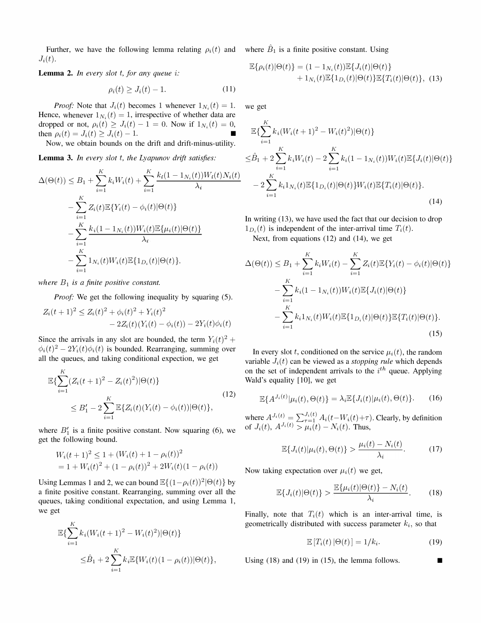Further, we have the following lemma relating  $\rho_i(t)$  and where  $\hat{B}_1$  is a finite positive constant. Using  $J_i(t)$ .

**Lemma 2.** In every slot  $t$ , for any queue  $i$ :

$$
\rho_i(t) \ge J_i(t) - 1. \tag{11}
$$

*Proof:* Note that  $J_i(t)$  becomes 1 whenever  $1_{N_i}(t) = 1$ . Hence, whenever  $1_{N_i}(t) = 1$ , irrespective of whether data are dropped or not,  $\rho_i(t) \geq J_i(t) - 1 = 0$ . Now if  $1_{N_i}(t) = 0$ , then  $\rho_i(t) = J_i(t) \geq J_i(t) - 1$ .

Now, we obtain bounds on the drift and drift-minus-utility.

Lemma 3. In every slot t, the Lyapunov drift satisfies:

$$
\Delta(\Theta(t)) \leq B_1 + \sum_{i=1}^K k_i W_i(t) + \sum_{i=1}^K \frac{k_i (1 - \mathbb{1}_{N_i}(t)) W_i(t) N_i(t)}{\lambda_i}
$$
  

$$
- \sum_{i=1}^K Z_i(t) \mathbb{E} \{ Y_i(t) - \phi_i(t) | \Theta(t) \}
$$
  

$$
- \sum_{i=1}^K \frac{k_i (1 - \mathbb{1}_{N_i}(t)) W_i(t) \mathbb{E} \{\mu_i(t) | \Theta(t) \}}{\lambda_i}
$$
  

$$
- \sum_{i=1}^K \mathbb{1}_{N_i}(t) W_i(t) \mathbb{E} \{\mathbb{1}_{D_i}(t) | \Theta(t) \}.
$$

where  $B_1$  is a finite positive constant.

Proof: We get the following inequality by squaring (5).

$$
Z_i(t+1)^2 \le Z_i(t)^2 + \phi_i(t)^2 + Y_i(t)^2
$$
  
- 2Z\_i(t)(Y\_i(t) - \phi\_i(t)) - 2Y\_i(t)\phi\_i(t)

Since the arrivals in any slot are bounded, the term  $Y_i(t)^2$  +  $\phi_i(t)^2 - 2Y_i(t)\phi_i(t)$  is bounded. Rearranging, summing over all the queues, and taking conditional expection, we get

$$
\mathbb{E}\left\{\sum_{i=1}^{K} (Z_i(t+1)^2 - Z_i(t)^2)|\Theta(t)\right\}
$$
\n
$$
\leq B'_1 - 2\sum_{i=1}^{K} \mathbb{E}\left\{Z_i(t)(Y_i(t) - \phi_i(t))|\Theta(t)\right\},
$$
\n(12)

where  $B_1$  is a finite positive constant. Now squaring (6), we get the following bound.

$$
W_i(t+1)^2 \le 1 + (W_i(t) + 1 - \rho_i(t))^2
$$
  
= 1 + W\_i(t)<sup>2</sup> + (1 - \rho\_i(t))<sup>2</sup> + 2W\_i(t)(1 - \rho\_i(t))

Using Lemmas 1 and 2, we can bound  $\mathbb{E}\{(1-\rho_i(t))^2|\Theta(t)\}\)$  by a finite positive constant. Rearranging, summing over all the queues, taking conditional expectation, and using Lemma 1, we get

$$
\mathbb{E}\{\sum_{i=1}^{K}k_i(W_i(t+1)^2 - W_i(t)^2)|\Theta(t)\}\
$$
  

$$
\leq \hat{B}_1 + 2\sum_{i=1}^{K}k_i\mathbb{E}\{W_i(t)(1-\rho_i(t))|\Theta(t)\},
$$

$$
\mathbb{E}\{\rho_i(t)|\Theta(t)\} = (1 - 1_{N_i}(t))\mathbb{E}\{J_i(t)|\Theta(t)\}+ 1_{N_i}(t)\mathbb{E}\{1_{D_i}(t)|\Theta(t)\}\mathbb{E}\{T_i(t)|\Theta(t)\},
$$
(13)

we get

$$
\mathbb{E}\left\{\sum_{i=1}^{K}k_{i}(W_{i}(t+1)^{2} - W_{i}(t)^{2})|\Theta(t)\right\}
$$
\n
$$
\leq \hat{B}_{1} + 2\sum_{i=1}^{K}k_{i}W_{i}(t) - 2\sum_{i=1}^{K}k_{i}(1 - 1_{N_{i}}(t))W_{i}(t)\mathbb{E}\left\{J_{i}(t)|\Theta(t)\right\}
$$
\n
$$
-2\sum_{i=1}^{K}k_{i}1_{N_{i}}(t)\mathbb{E}\left\{1_{D_{i}}(t)|\Theta(t)\right\}W_{i}(t)\mathbb{E}\left\{T_{i}(t)|\Theta(t)\right\}.\tag{14}
$$

In writing (13), we have used the fact that our decision to drop  $1_{D_i}(t)$  is independent of the inter-arrival time  $T_i(t)$ .

Next, from equations (12) and (14), we get

$$
\Delta(\Theta(t)) \leq B_1 + \sum_{i=1}^K k_i W_i(t) - \sum_{i=1}^K Z_i(t) \mathbb{E}\{Y_i(t) - \phi_i(t)|\Theta(t)\}\
$$

$$
- \sum_{i=1}^K k_i (1 - 1_{N_i}(t)) W_i(t) \mathbb{E}\{J_i(t)|\Theta(t)\}\
$$

$$
- \sum_{i=1}^K k_i 1_{N_i}(t) W_i(t) \mathbb{E}\{1_{D_i}(t)|\Theta(t)\} \mathbb{E}\{T_i(t)|\Theta(t)\}.
$$
(15)

In every slot t, conditioned on the service  $\mu_i(t)$ , the random variable  $J_i(t)$  can be viewed as a *stopping rule* which depends on the set of independent arrivals to the  $i<sup>th</sup>$  queue. Applying Wald's equality [10], we get

$$
\mathbb{E}\{A^{J_i(t)}|\mu_i(t),\Theta(t)\} = \lambda_i \mathbb{E}\{J_i(t)|\mu_i(t),\Theta(t)\}.
$$
 (16)

where  $A^{J_i(t)} = \sum_{\tau=1}^{J_i(t)} A_i(t-W_i(t)+\tau)$ . Clearly, by definition of  $J_i(t)$ ,  $A^{J_i(t)} > \mu_i(t) - N_i(t)$ . Thus,

$$
\mathbb{E}\{J_i(t)|\mu_i(t),\Theta(t)\} > \frac{\mu_i(t) - N_i(t)}{\lambda_i}.
$$
 (17)

Now taking expectation over  $\mu_i (t)$  we get,

$$
\mathbb{E}\{J_i(t)|\Theta(t)\} > \frac{\mathbb{E}\{\mu_i(t)|\Theta(t)\} - N_i(t)}{\lambda_i}.
$$
 (18)

Finally, note that  $T_i(t)$  which is an inter-arrival time, is geometrically distributed with success parameter  $k_i$ , so that

$$
\mathbb{E}\left[T_i(t)\left|\Theta(t)\right.\right] = 1/k_i.
$$
 (19)

Using  $(18)$  and  $(19)$  in  $(15)$ , the lemma follows.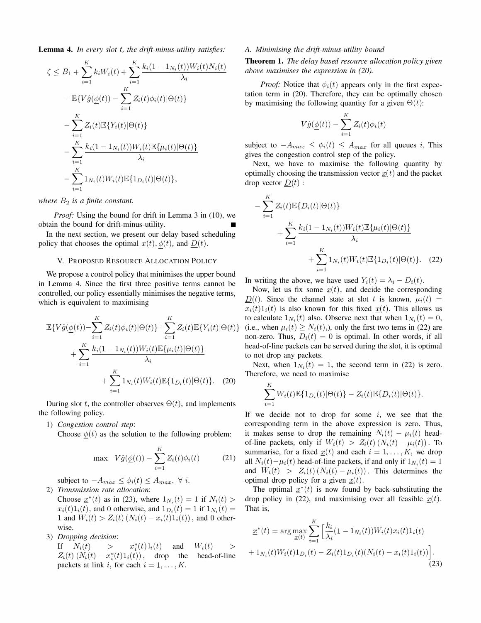**Lemma 4.** In every slot  $t$ , the drift-minus-utility satisfies:

$$
\zeta \leq B_1 + \sum_{i=1}^K k_i W_i(t) + \sum_{i=1}^K \frac{k_i (1 - 1_{N_i}(t)) W_i(t) N_i(t)}{\lambda_i}
$$
  
\n
$$
- \mathbb{E} \{ V \hat{g}(\underline{\phi}(t)) - \sum_{i=1}^K Z_i(t) \phi_i(t) | \Theta(t) \}
$$
  
\n
$$
- \sum_{i=1}^K Z_i(t) \mathbb{E} \{ Y_i(t) | \Theta(t) \}
$$
  
\n
$$
- \sum_{i=1}^K \frac{k_i (1 - 1_{N_i}(t)) W_i(t) \mathbb{E} \{ \mu_i(t) | \Theta(t) \}}{\lambda_i}
$$
  
\n
$$
- \sum_{i=1}^K 1_{N_i}(t) W_i(t) \mathbb{E} \{ 1_{D_i}(t) | \Theta(t) \},
$$

where  $B_2$  is a finite constant.

*Proof:* Using the bound for drift in Lemma 3 in  $(10)$ , we obtain the bound for drift-minus-utility. •

In the next section, we present our delay based scheduling policy that chooses the optimal  $\underline{x}(t)$ ,  $\phi(t)$ , and  $\underline{D}(t)$ .

#### V. PROPOSED RESOURCE ALLOCATION POLICY

We propose a control policy that minimises the upper bound in Lemma 4. Since the first three positive terms cannot be controlled, our policy essentially minimises the negative terms, which is equivalent to maximising

$$
\mathbb{E}\{V\hat{g}(\underline{\phi}(t)) - \sum_{i=1}^{K} Z_i(t)\phi_i(t)|\Theta(t)\} + \sum_{i=1}^{K} Z_i(t)\mathbb{E}\{Y_i(t)|\Theta(t)\} + \sum_{i=1}^{K} \frac{k_i(1 - 1_{N_i}(t))W_i(t)\mathbb{E}\{\mu_i(t)|\Theta(t)\}}{\lambda_i} + \sum_{i=1}^{K} 1_{N_i}(t)W_i(t)\mathbb{E}\{1_{D_i}(t)|\Theta(t)\}.
$$
 (20)

During slot t, the controller observes  $\Theta(t)$ , and implements the following policy.

1) Congestion control step:

Choose  $\phi(t)$  as the solution to the following problem:

$$
\max \quad V\hat{g}(\underline{\phi}(t)) - \sum_{i=1}^{K} Z_i(t)\phi_i(t) \tag{21}
$$

subject to  $-A_{max} \leq \phi_i(t) \leq A_{max}$ ,  $\forall i$ . 2) Transmission rate allocation:

Choose  $x^*(t)$  as in (23), where  $1_{N_i}(t) = 1$  if  $N_i(t) >$  $x_i(t)1_i(t)$ , and 0 otherwise, and  $1_{D_i}(t) = 1$  if  $1_{N_i}(t) =$ 1 and  $W_i(t) > Z_i(t) (N_i(t) - x_i(t)1_i(t))$ , and 0 otherwise.

3) Dropping decision:

If  $N_i(t)$  >  $x_i^*(t)1_i(t)$  and  $Z_i(t)$   $(N_i(t) - x_i^*(t)1_i(t))$ , drop the packets at link i, for each  $i = 1, \ldots, K$ .  $W_i(t) \geq$ head-of-line

#### A. Minimising the drift-minus-utility bound

Theorem 1. The delay based resource allocation policy given above maximises the expression in (20).

*Proof:* Notice that  $\phi_i(t)$  appears only in the first expectation term in (20). Therefore, they can be optimally chosen by maximising the following quantity for a given  $\Theta(t)$ :

$$
V\hat{g}(\underline{\phi}(t)) - \sum_{i=1}^K Z_i(t)\phi_i(t)
$$

subject to  $-A_{max} \leq \phi_i(t) \leq A_{max}$  for all queues *i*. This gives the congestion control step of the policy.

Next, we have to maximise the following quantity by optimally choosing the transmission vector  $\mathbf{x}(t)$  and the packet drop vector  $D(t)$ :

$$
-\sum_{i=1}^{K} Z_i(t) \mathbb{E} \{D_i(t) | \Theta(t)\}\n+ \sum_{i=1}^{K} \frac{k_i (1 - 1_{N_i}(t)) W_i(t) \mathbb{E} \{\mu_i(t) | \Theta(t)\}}{\lambda_i} + \sum_{i=1}^{K} 1_{N_i}(t) W_i(t) \mathbb{E} \{1_{D_i}(t) | \Theta(t)\}.
$$
 (22)

In writing the above, we have used  $Y_i(t) = \lambda_i - D_i(t)$ .

Now, let us fix some  $\underline{x}(t)$ , and decide the corresponding  $\underline{D}(t)$ . Since the channel state at slot t is known,  $\mu_i (t)$  =  $x_i(t) 1_i(t)$  is also known for this fixed  $\underline{x}(t)$ . This allows us to calculate  $1_{N_i}(t)$  also. Observe next that when  $1_{N_i}(t) = 0$ , (i.e., when  $\mu_i (t) \geq N_i (t)$ ), only the first two tems in (22) are non-zero. Thus,  $D_i(t) = 0$  is optimal. In other words, if all head-of-line packets can be served during the slot, it is optimal to not drop any packets.

Next, when  $1_{N_i}(t) = 1$ , the second term in (22) is zero. Therefore, we need to maximise

 $\overline{K}$ 

$$
\sum_{i=1}^{K} W_i(t) \mathbb{E} \{1_{D_i}(t) | \Theta(t)\} - Z_i(t) \mathbb{E} \{D_i(t) | \Theta(t)\}.
$$

If we decide not to drop for some  $i$ , we see that the corresponding term in the above expression is zero. Thus, it makes sense to drop the remaining  $N_i(t) - \mu_i(t)$  headof-line packets, only if  $W_i(t) > Z_i(t) (N_i(t) - \mu_i(t))$ . To summarise, for a fixed  $x(t)$  and each  $i = 1, \ldots, K$ , we drop all  $N_i (t) - \mu_i (t)$  head-of-line packets, if and only if  $1_{N_i} (t) = 1$ and  $W_i(t) > Z_i(t) (N_i(t) - \mu_i(t))$ . This determines the optimal drop policy for a given  $\underline{x}(t)$ .

The optimal  $x^*(t)$  is now found by back-substituting the drop policy in (22), and maximising over all feasible  $x(t)$ . That is,

$$
\underline{x}^*(t) = \arg \max_{\underline{x}(t)} \sum_{i=1}^K \Big[ \frac{k_i}{\lambda_i} (1 - 1_{N_i}(t)) W_i(t) x_i(t) 1_i(t) + 1_{N_i}(t) W_i(t) 1_{D_i}(t) - Z_i(t) 1_{D_i}(t) (N_i(t) - x_i(t) 1_i(t)) \Big].
$$
\n(23)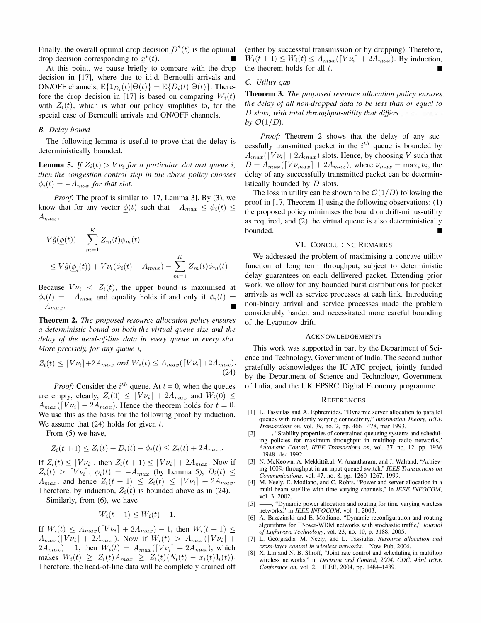Finally, the overall optimal drop decision  $D^*(t)$  is the optimal drop decision corresponding to  $x^*(t)$ .

At this point, we pause briefly to compare with the drop decision in [17], where due to i.i.d. Bernoulli arrivals and ON/OFF channels,  $\mathbb{E}\lbrace 1_{D_i}(t)|\Theta(t)\rbrace = \mathbb{E}\lbrace D_i(t)|\Theta(t)\rbrace$ . Therefore the drop decision in [17] is based on comparing  $W_i(t)$ with  $Z_i(t)$ , which is what our policy simplifies to, for the special case of Bernoulli arrivals and ON/OFF channels.

## B. Delay bound

The following lemma is useful to prove that the delay is deterministically bounded.

**Lemma 5.** If  $Z_i(t) > V \nu_i$  for a particular slot and queue i, then the congestion control step in the above policy chooses  $\phi_i(t) = -A_{max}$  for that slot.

*Proof:* The proof is similar to  $[17,$  Lemma 3]. By  $(3)$ , we know that for any vector  $\phi(t)$  such that  $-A_{max} \leq \phi_i(t) \leq$  $A_{max}$ 

$$
V\hat{g}(\underline{\phi}(t)) - \sum_{m=1}^{K} Z_m(t)\phi_m(t)
$$
  
\n
$$
\leq V\hat{g}(\underline{\phi}_i(t)) + V\nu_i(\phi_i(t) + A_{max}) - \sum_{m=1}^{K} Z_m(t)\phi_m(t)
$$

Because  $V\nu_i \leq Z_i(t)$ , the upper bound is maximised at  $\phi_i(t) = -A_{max}$  and equality holds if and only if  $\phi_i(t) =$  $-A_{max}$ .

Theorem 2. The proposed resource allocation policy ensures a deterministic bound on both the virtual queue size and the delay of the head-of-line data in every queue in every slot. More precisely, for any queue *i*,

$$
Z_i(t) \leq \lceil V\nu_i \rceil + 2A_{max} \text{ and } W_i(t) \leq A_{max}(\lceil V\nu_i \rceil + 2A_{max}).
$$
\n(24)

*Proof:* Consider the  $i^{th}$  queue. At  $t = 0$ , when the queues are empty, clearly,  $Z_i(0) \leq [Vv_i] + 2A_{max}$  and  $W_i(0) \leq$  $A_{max}([Vv_i] + 2A_{max})$ . Hence the theorem holds for  $t = 0$ . We use this as the basis for the following proof by induction. We assume that  $(24)$  holds for given t.

From (5) we have,

$$
Z_i(t + 1) \le Z_i(t) + D_i(t) + \phi_i(t) \le Z_i(t) + 2A_{max}.
$$

If  $Z_i(t) \leq [V\nu_i]$ , then  $Z_i(t + 1) \leq [V\nu_i] + 2A_{max}$ . Now if  $Z_i(t) > [Vv_i], \phi_i(t) = -A_{max}$  (by Lemma 5),  $D_i(t) \le$  $A_{max}$ , and hence  $Z_i(t + 1) \leq Z_i(t) \leq [V\nu_i] + 2A_{max}$ . Therefore, by induction,  $Z_i(t)$  is bounded above as in (24).

Similarly, from (6), we have

$$
W_i(t+1) \le W_i(t) + 1.
$$

If  $W_i(t) \leq A_{max}([V\nu_i] + 2A_{max}) - 1$ , then  $W_i(t + 1) \leq$  $A_{max}([Vv_i] + 2A_{max})$ . Now if  $W_i(t) > A_{max}([Vv_i] +$  $2A_{max}$ ) – 1, then  $W_i(t) = A_{max}([V\nu_i] + 2A_{max})$ , which makes  $W_i(t) \geq Z_i(t)A_{max} \geq Z_i(t)(N_i(t) - x_i(t)1_i(t)).$ Therefore, the head-of-line data will be completely drained off (either by successful transmission or by dropping). Therefore,  $W_i (t + 1) \leq W_i (t) \leq A_{max} (\lceil V \nu_i \rceil + 2A_{max})$ . By induction, the theorem holds for all  $t$ .

# C. Utility gap

Theorem 3. The proposed resource allocation policy ensures the delay of all non-dropped data to be less than or equal to  $D$  slots, with total throughput-utility that differs by  $\mathcal{O}(1/D)$ .

Proof: Theorem 2 shows that the delay of any successfully transmitted packet in the  $i<sup>th</sup>$  queue is bounded by  $A_{max}([Vv_i] + 2A_{max})$  slots. Hence, by choosing V such that  $D = A_{max}([V \nu_{max}] + 2A_{max})$ , where  $\nu_{max} = \max_i \nu_i$ , the delay of any successfully transmitted packet can be deterministically bounded by D slots.

The loss in utility can be shown to be  $\mathcal{O}(1/D)$  following the proof in [17, Theorem 1] using the following observations: (1) the proposed policy minimises the bound on drift-minus-utility as required, and (2) the virtual queue is also deterministically bounded. •

#### VI. CONCLUDING REMARKS

We addressed the problem of maximising a concave utility function of long term throughput, subject to deterministic delay guarantees on each dellivered packet. Extending prior work, we allow for any bounded burst distributions for packet arrivals as well as service processes at each link. Introducing non-binary arrival and service processes made the problem considerably harder, and necessitated more careful bounding of the Lyapunov drift.

#### ACKNOWLEDGEMENTS

This work was supported in part by the Department of Science and Technology, Government of India. The second author gratefully acknowledges the IU-ATC project, jointly funded by the Department of Science and Technology, Government of India, and the UK EPSRC Digital Economy programme.

#### **REFERENCES**

- [1] L. Tassiulas and A. Ephremides, "Dynamic server allocation to parallel queues with randomly varying connectivity," Information Theory, IEEE Transactions on, vol. 39, no. 2, pp. 466 -478, mar 1993.
- [2] -- , "Stability properties of constrained queueing systems and scheduling policies for maximum throughput in multihop radio networks," Automatic Control, IEEE Transactions on, vol. 37, no. 12, pp. 1936 -1948, dec 1992.
- [3] N. McKeown, A. Mekkittikul, V. Anantharam, and J. Walrand, "Achieving 100% throughput in an input-queued switch," IEEE Transactions on Communications, vol. 47, no. 8, pp. 1260-1267, 1999.
- [4] M. Neely, E. Modiano, and C. Rohrs, "Power and server allocation in a multi-beam satellite with time varying channels," in IEEE INFOCOM, vol. 3,2002.
- [5] --, "Dynamic power allocation and routing for time varying wireless networks," in IEEE INFOCOM, vol. 1, 2003.
- [6] A. Brzezinski and E. Modiano, "Dynamic reconfiguration and routing algorithms for IP-over-WDM networks with stochastic traffic," Journal of Lightwave Technology, vol. 23, no. 10, p. 3188, 2005.
- [7] L. Georgiadis, M. Neely, and L. Tassiulas, Resource allocation and cross-layer control in wireless networks. Now Pub, 2006.
- [8] X. Lin and N. B. Shroff, "Joint rate control and scheduling in multihop wireless networks," in Decision and Control, 2004. CDC. 43rd IEEE Conference on, vol. 2. IEEE, 2004, pp. 1484-1489.